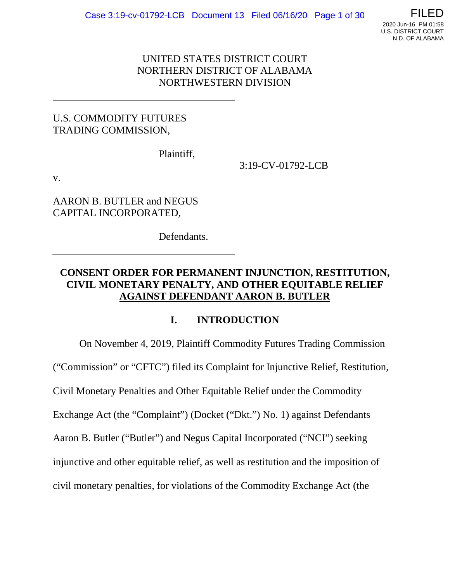# UNITED STATES DISTRICT COURT NORTHERN DISTRICT OF ALABAMA NORTHWESTERN DIVISION

# U.S. COMMODITY FUTURES TRADING COMMISSION,

Plaintiff,

3:19-CV-01792-LCB

v.

AARON B. BUTLER and NEGUS CAPITAL INCORPORATED,

Defendants.

# **CONSENT ORDER FOR PERMANENT INJUNCTION, RESTITUTION, CIVIL MONETARY PENALTY, AND OTHER EQUITABLE RELIEF AGAINST DEFENDANT AARON B. BUTLER**

# **I. INTRODUCTION**

On November 4, 2019, Plaintiff Commodity Futures Trading Commission ("Commission" or "CFTC") filed its Complaint for Injunctive Relief, Restitution, Civil Monetary Penalties and Other Equitable Relief under the Commodity Exchange Act (the "Complaint") (Docket ("Dkt.") No. 1) against Defendants Aaron B. Butler ("Butler") and Negus Capital Incorporated ("NCI") seeking injunctive and other equitable relief, as well as restitution and the imposition of civil monetary penalties, for violations of the Commodity Exchange Act (the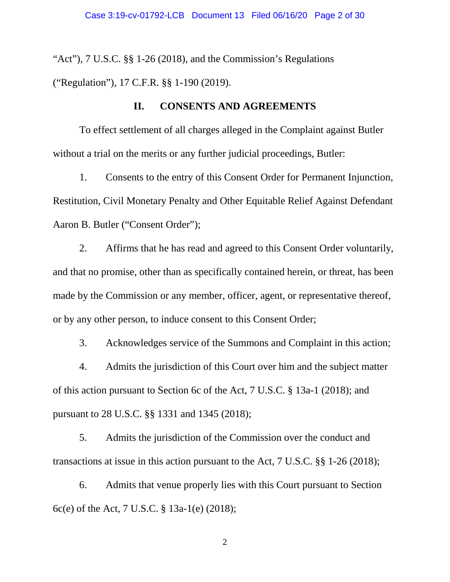"Act"), 7 U.S.C. §§ 1-26 (2018), and the Commission's Regulations ("Regulation"), 17 C.F.R. §§ 1-190 (2019).

# **II. CONSENTS AND AGREEMENTS**

To effect settlement of all charges alleged in the Complaint against Butler without a trial on the merits or any further judicial proceedings, Butler:

1. Consents to the entry of this Consent Order for Permanent Injunction, Restitution, Civil Monetary Penalty and Other Equitable Relief Against Defendant Aaron B. Butler ("Consent Order");

2. Affirms that he has read and agreed to this Consent Order voluntarily, and that no promise, other than as specifically contained herein, or threat, has been made by the Commission or any member, officer, agent, or representative thereof, or by any other person, to induce consent to this Consent Order;

3. Acknowledges service of the Summons and Complaint in this action;

4. Admits the jurisdiction of this Court over him and the subject matter of this action pursuant to Section 6c of the Act, 7 U.S.C. § 13a-1 (2018); and pursuant to 28 U.S.C. §§ 1331 and 1345 (2018);

5. Admits the jurisdiction of the Commission over the conduct and transactions at issue in this action pursuant to the Act, 7 U.S.C. §§ 1-26 (2018);

6. Admits that venue properly lies with this Court pursuant to Section 6c(e) of the Act, 7 U.S.C. § 13a-1(e) (2018);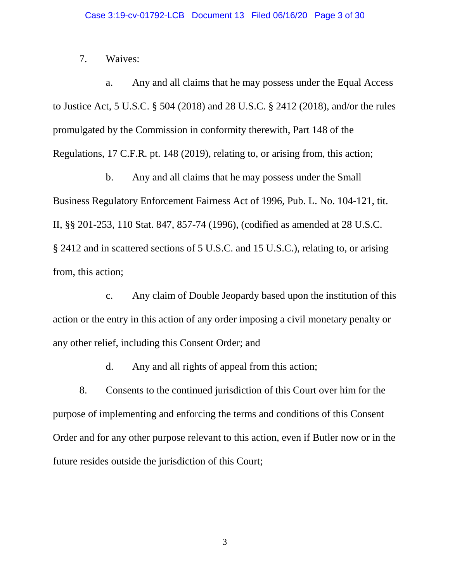### 7. Waives:

a. Any and all claims that he may possess under the Equal Access to Justice Act, 5 U.S.C. § 504 (2018) and 28 U.S.C. § 2412 (2018), and/or the rules promulgated by the Commission in conformity therewith, Part 148 of the Regulations, 17 C.F.R. pt. 148 (2019), relating to, or arising from, this action;

b. Any and all claims that he may possess under the Small Business Regulatory Enforcement Fairness Act of 1996, Pub. L. No. 104-121, tit. II, §§ 201-253, 110 Stat. 847, 857-74 (1996), (codified as amended at 28 U.S.C. § 2412 and in scattered sections of 5 U.S.C. and 15 U.S.C.), relating to, or arising from, this action;

c. Any claim of Double Jeopardy based upon the institution of this action or the entry in this action of any order imposing a civil monetary penalty or any other relief, including this Consent Order; and

d. Any and all rights of appeal from this action;

8. Consents to the continued jurisdiction of this Court over him for the purpose of implementing and enforcing the terms and conditions of this Consent Order and for any other purpose relevant to this action, even if Butler now or in the future resides outside the jurisdiction of this Court;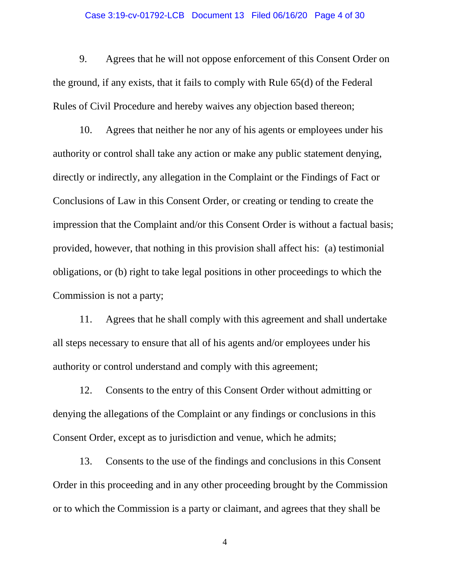#### Case 3:19-cv-01792-LCB Document 13 Filed 06/16/20 Page 4 of 30

9. Agrees that he will not oppose enforcement of this Consent Order on the ground, if any exists, that it fails to comply with Rule 65(d) of the Federal Rules of Civil Procedure and hereby waives any objection based thereon;

10. Agrees that neither he nor any of his agents or employees under his authority or control shall take any action or make any public statement denying, directly or indirectly, any allegation in the Complaint or the Findings of Fact or Conclusions of Law in this Consent Order, or creating or tending to create the impression that the Complaint and/or this Consent Order is without a factual basis; provided, however, that nothing in this provision shall affect his: (a) testimonial obligations, or (b) right to take legal positions in other proceedings to which the Commission is not a party;

11. Agrees that he shall comply with this agreement and shall undertake all steps necessary to ensure that all of his agents and/or employees under his authority or control understand and comply with this agreement;

12. Consents to the entry of this Consent Order without admitting or denying the allegations of the Complaint or any findings or conclusions in this Consent Order, except as to jurisdiction and venue, which he admits;

13. Consents to the use of the findings and conclusions in this Consent Order in this proceeding and in any other proceeding brought by the Commission or to which the Commission is a party or claimant, and agrees that they shall be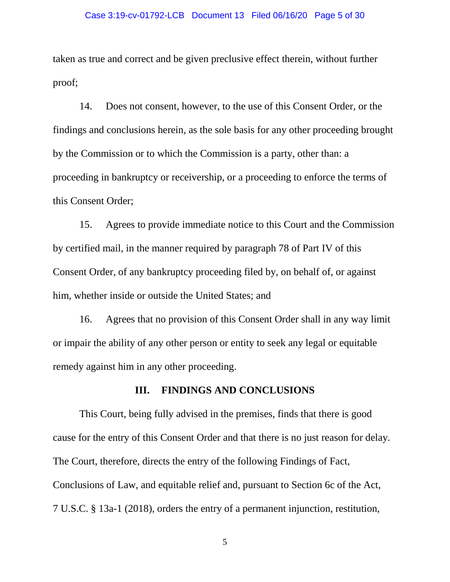#### Case 3:19-cv-01792-LCB Document 13 Filed 06/16/20 Page 5 of 30

taken as true and correct and be given preclusive effect therein, without further proof;

14. Does not consent, however, to the use of this Consent Order, or the findings and conclusions herein, as the sole basis for any other proceeding brought by the Commission or to which the Commission is a party, other than: a proceeding in bankruptcy or receivership, or a proceeding to enforce the terms of this Consent Order;

15. Agrees to provide immediate notice to this Court and the Commission by certified mail, in the manner required by paragraph 78 of Part IV of this Consent Order, of any bankruptcy proceeding filed by, on behalf of, or against him, whether inside or outside the United States; and

16. Agrees that no provision of this Consent Order shall in any way limit or impair the ability of any other person or entity to seek any legal or equitable remedy against him in any other proceeding.

### **III. FINDINGS AND CONCLUSIONS**

This Court, being fully advised in the premises, finds that there is good cause for the entry of this Consent Order and that there is no just reason for delay. The Court, therefore, directs the entry of the following Findings of Fact, Conclusions of Law, and equitable relief and, pursuant to Section 6c of the Act, 7 U.S.C. § 13a-1 (2018), orders the entry of a permanent injunction, restitution,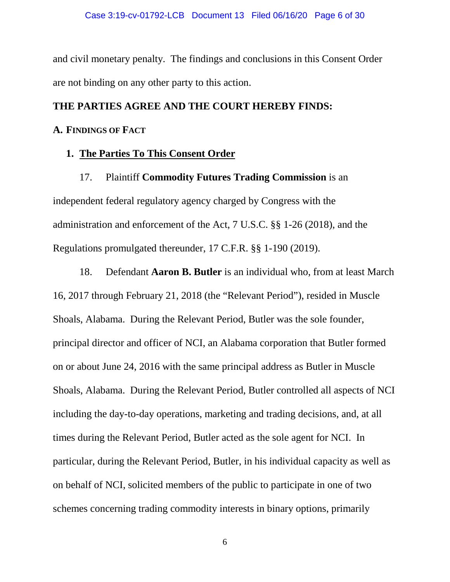and civil monetary penalty. The findings and conclusions in this Consent Order are not binding on any other party to this action.

# **THE PARTIES AGREE AND THE COURT HEREBY FINDS:**

### **A. FINDINGS OF FACT**

### **1. The Parties To This Consent Order**

17. Plaintiff **Commodity Futures Trading Commission** is an independent federal regulatory agency charged by Congress with the administration and enforcement of the Act, 7 U.S.C. §§ 1-26 (2018), and the Regulations promulgated thereunder, 17 C.F.R. §§ 1-190 (2019).

18. Defendant **Aaron B. Butler** is an individual who, from at least March 16, 2017 through February 21, 2018 (the "Relevant Period"), resided in Muscle Shoals, Alabama. During the Relevant Period, Butler was the sole founder, principal director and officer of NCI, an Alabama corporation that Butler formed on or about June 24, 2016 with the same principal address as Butler in Muscle Shoals, Alabama. During the Relevant Period, Butler controlled all aspects of NCI including the day-to-day operations, marketing and trading decisions, and, at all times during the Relevant Period, Butler acted as the sole agent for NCI. In particular, during the Relevant Period, Butler, in his individual capacity as well as on behalf of NCI, solicited members of the public to participate in one of two schemes concerning trading commodity interests in binary options, primarily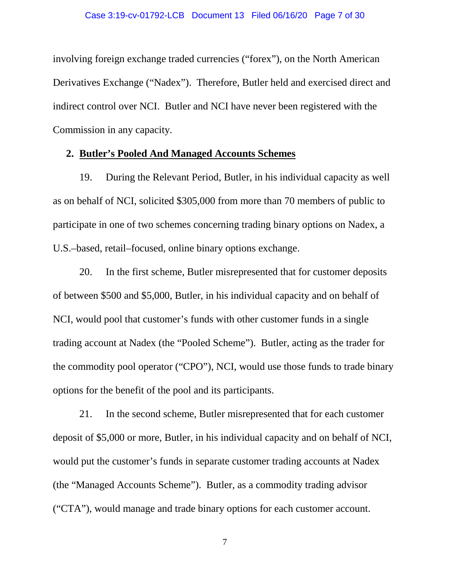involving foreign exchange traded currencies ("forex"), on the North American Derivatives Exchange ("Nadex"). Therefore, Butler held and exercised direct and indirect control over NCI. Butler and NCI have never been registered with the Commission in any capacity.

# **2. Butler's Pooled And Managed Accounts Schemes**

19. During the Relevant Period, Butler, in his individual capacity as well as on behalf of NCI, solicited \$305,000 from more than 70 members of public to participate in one of two schemes concerning trading binary options on Nadex, a U.S.–based, retail–focused, online binary options exchange.

20. In the first scheme, Butler misrepresented that for customer deposits of between \$500 and \$5,000, Butler, in his individual capacity and on behalf of NCI, would pool that customer's funds with other customer funds in a single trading account at Nadex (the "Pooled Scheme"). Butler, acting as the trader for the commodity pool operator ("CPO"), NCI, would use those funds to trade binary options for the benefit of the pool and its participants.

21. In the second scheme, Butler misrepresented that for each customer deposit of \$5,000 or more, Butler, in his individual capacity and on behalf of NCI, would put the customer's funds in separate customer trading accounts at Nadex (the "Managed Accounts Scheme"). Butler, as a commodity trading advisor ("CTA"), would manage and trade binary options for each customer account.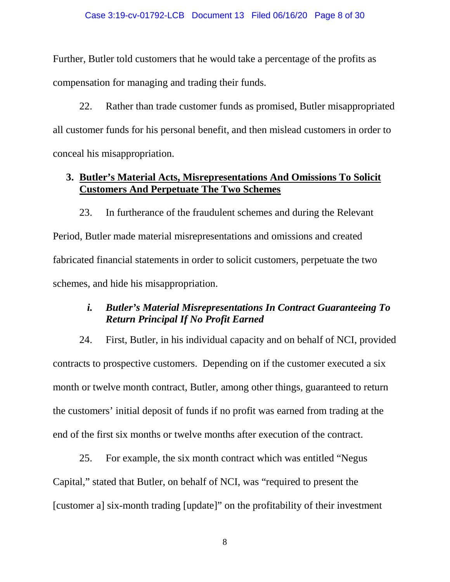Further, Butler told customers that he would take a percentage of the profits as compensation for managing and trading their funds.

22. Rather than trade customer funds as promised, Butler misappropriated all customer funds for his personal benefit, and then mislead customers in order to conceal his misappropriation.

# **3. Butler's Material Acts, Misrepresentations And Omissions To Solicit Customers And Perpetuate The Two Schemes**

23. In furtherance of the fraudulent schemes and during the Relevant Period, Butler made material misrepresentations and omissions and created fabricated financial statements in order to solicit customers, perpetuate the two schemes, and hide his misappropriation.

# *i. Butler's Material Misrepresentations In Contract Guaranteeing To Return Principal If No Profit Earned*

24. First, Butler, in his individual capacity and on behalf of NCI, provided contracts to prospective customers. Depending on if the customer executed a six month or twelve month contract, Butler, among other things, guaranteed to return the customers' initial deposit of funds if no profit was earned from trading at the end of the first six months or twelve months after execution of the contract.

25. For example, the six month contract which was entitled "Negus Capital," stated that Butler, on behalf of NCI, was "required to present the [customer a] six-month trading [update]" on the profitability of their investment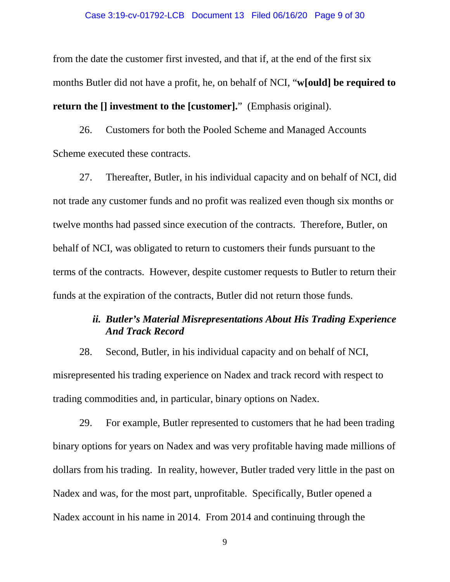#### Case 3:19-cv-01792-LCB Document 13 Filed 06/16/20 Page 9 of 30

from the date the customer first invested, and that if, at the end of the first six months Butler did not have a profit, he, on behalf of NCI, "**w[ould] be required to return the [] investment to the [customer].**" (Emphasis original).

26. Customers for both the Pooled Scheme and Managed Accounts Scheme executed these contracts.

27. Thereafter, Butler, in his individual capacity and on behalf of NCI, did not trade any customer funds and no profit was realized even though six months or twelve months had passed since execution of the contracts. Therefore, Butler, on behalf of NCI, was obligated to return to customers their funds pursuant to the terms of the contracts. However, despite customer requests to Butler to return their funds at the expiration of the contracts, Butler did not return those funds.

# *ii. Butler's Material Misrepresentations About His Trading Experience And Track Record*

28. Second, Butler, in his individual capacity and on behalf of NCI, misrepresented his trading experience on Nadex and track record with respect to trading commodities and, in particular, binary options on Nadex.

29. For example, Butler represented to customers that he had been trading binary options for years on Nadex and was very profitable having made millions of dollars from his trading. In reality, however, Butler traded very little in the past on Nadex and was, for the most part, unprofitable. Specifically, Butler opened a Nadex account in his name in 2014. From 2014 and continuing through the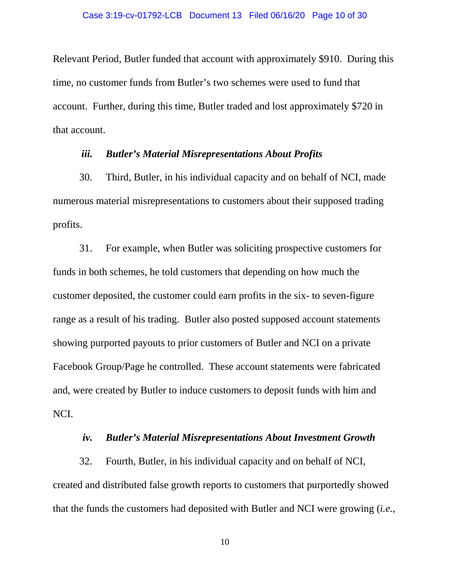Relevant Period, Butler funded that account with approximately \$910. During this time, no customer funds from Butler's two schemes were used to fund that account. Further, during this time, Butler traded and lost approximately \$720 in that account.

#### *iii. Butler's Material Misrepresentations About Profits*

30. Third, Butler, in his individual capacity and on behalf of NCI, made numerous material misrepresentations to customers about their supposed trading profits.

31. For example, when Butler was soliciting prospective customers for funds in both schemes, he told customers that depending on how much the customer deposited, the customer could earn profits in the six- to seven-figure range as a result of his trading. Butler also posted supposed account statements showing purported payouts to prior customers of Butler and NCI on a private Facebook Group/Page he controlled. These account statements were fabricated and, were created by Butler to induce customers to deposit funds with him and NCI.

### *iv. Butler's Material Misrepresentations About Investment Growth*

32. Fourth, Butler, in his individual capacity and on behalf of NCI, created and distributed false growth reports to customers that purportedly showed that the funds the customers had deposited with Butler and NCI were growing (*i.e.*,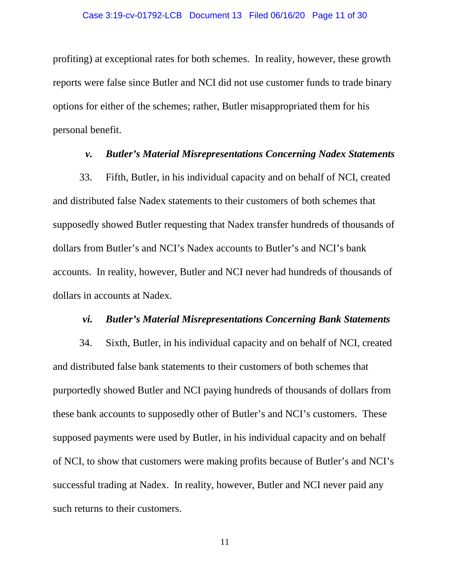#### Case 3:19-cv-01792-LCB Document 13 Filed 06/16/20 Page 11 of 30

profiting) at exceptional rates for both schemes. In reality, however, these growth reports were false since Butler and NCI did not use customer funds to trade binary options for either of the schemes; rather, Butler misappropriated them for his personal benefit.

### *v. Butler's Material Misrepresentations Concerning Nadex Statements*

33. Fifth, Butler, in his individual capacity and on behalf of NCI, created and distributed false Nadex statements to their customers of both schemes that supposedly showed Butler requesting that Nadex transfer hundreds of thousands of dollars from Butler's and NCI's Nadex accounts to Butler's and NCI's bank accounts. In reality, however, Butler and NCI never had hundreds of thousands of dollars in accounts at Nadex.

#### *vi. Butler's Material Misrepresentations Concerning Bank Statements*

34. Sixth, Butler, in his individual capacity and on behalf of NCI, created and distributed false bank statements to their customers of both schemes that purportedly showed Butler and NCI paying hundreds of thousands of dollars from these bank accounts to supposedly other of Butler's and NCI's customers. These supposed payments were used by Butler, in his individual capacity and on behalf of NCI, to show that customers were making profits because of Butler's and NCI's successful trading at Nadex. In reality, however, Butler and NCI never paid any such returns to their customers.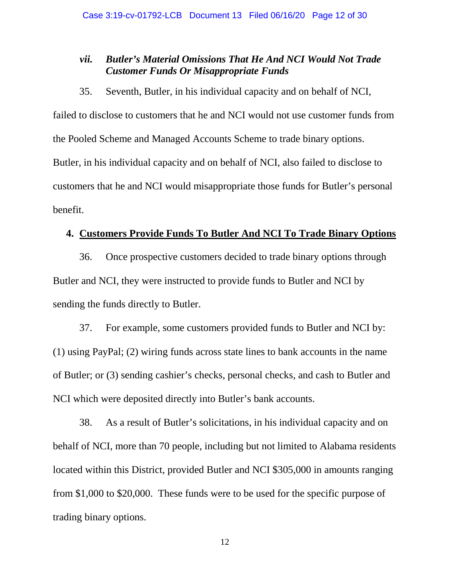# *vii. Butler's Material Omissions That He And NCI Would Not Trade Customer Funds Or Misappropriate Funds*

35. Seventh, Butler, in his individual capacity and on behalf of NCI,

failed to disclose to customers that he and NCI would not use customer funds from the Pooled Scheme and Managed Accounts Scheme to trade binary options. Butler, in his individual capacity and on behalf of NCI, also failed to disclose to customers that he and NCI would misappropriate those funds for Butler's personal benefit.

### **4. Customers Provide Funds To Butler And NCI To Trade Binary Options**

36. Once prospective customers decided to trade binary options through Butler and NCI, they were instructed to provide funds to Butler and NCI by sending the funds directly to Butler.

37. For example, some customers provided funds to Butler and NCI by: (1) using PayPal; (2) wiring funds across state lines to bank accounts in the name of Butler; or (3) sending cashier's checks, personal checks, and cash to Butler and NCI which were deposited directly into Butler's bank accounts.

38. As a result of Butler's solicitations, in his individual capacity and on behalf of NCI, more than 70 people, including but not limited to Alabama residents located within this District, provided Butler and NCI \$305,000 in amounts ranging from \$1,000 to \$20,000. These funds were to be used for the specific purpose of trading binary options.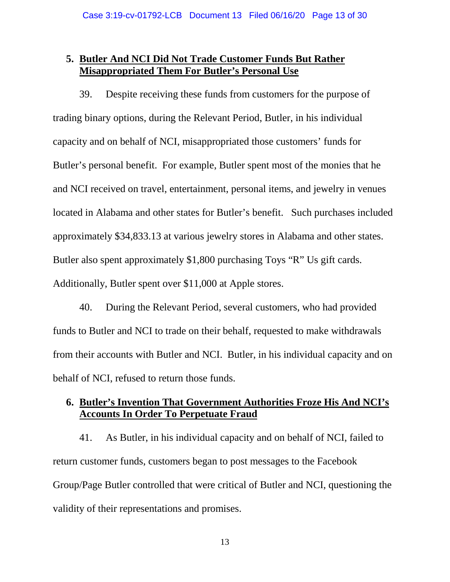# **5. Butler And NCI Did Not Trade Customer Funds But Rather Misappropriated Them For Butler's Personal Use**

39. Despite receiving these funds from customers for the purpose of trading binary options, during the Relevant Period, Butler, in his individual capacity and on behalf of NCI, misappropriated those customers' funds for Butler's personal benefit. For example, Butler spent most of the monies that he and NCI received on travel, entertainment, personal items, and jewelry in venues located in Alabama and other states for Butler's benefit. Such purchases included approximately \$34,833.13 at various jewelry stores in Alabama and other states. Butler also spent approximately \$1,800 purchasing Toys "R" Us gift cards. Additionally, Butler spent over \$11,000 at Apple stores.

40. During the Relevant Period, several customers, who had provided funds to Butler and NCI to trade on their behalf, requested to make withdrawals from their accounts with Butler and NCI. Butler, in his individual capacity and on behalf of NCI, refused to return those funds.

# **6. Butler's Invention That Government Authorities Froze His And NCI's Accounts In Order To Perpetuate Fraud**

41. As Butler, in his individual capacity and on behalf of NCI, failed to return customer funds, customers began to post messages to the Facebook Group/Page Butler controlled that were critical of Butler and NCI, questioning the validity of their representations and promises.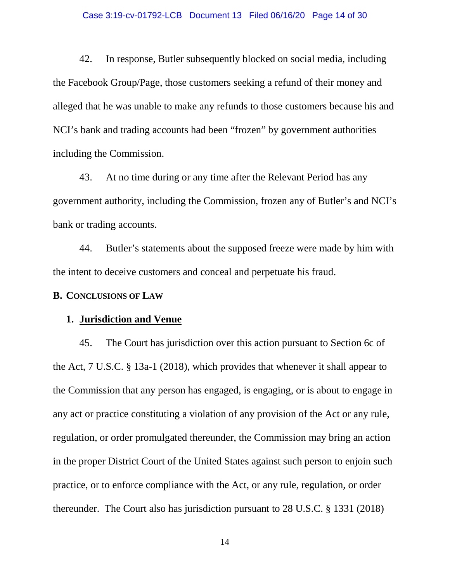#### Case 3:19-cv-01792-LCB Document 13 Filed 06/16/20 Page 14 of 30

42. In response, Butler subsequently blocked on social media, including the Facebook Group/Page, those customers seeking a refund of their money and alleged that he was unable to make any refunds to those customers because his and NCI's bank and trading accounts had been "frozen" by government authorities including the Commission.

43. At no time during or any time after the Relevant Period has any government authority, including the Commission, frozen any of Butler's and NCI's bank or trading accounts.

44. Butler's statements about the supposed freeze were made by him with the intent to deceive customers and conceal and perpetuate his fraud.

#### **B. CONCLUSIONS OF LAW**

### **1. Jurisdiction and Venue**

45. The Court has jurisdiction over this action pursuant to Section 6c of the Act, 7 U.S.C. § 13a-1 (2018), which provides that whenever it shall appear to the Commission that any person has engaged, is engaging, or is about to engage in any act or practice constituting a violation of any provision of the Act or any rule, regulation, or order promulgated thereunder, the Commission may bring an action in the proper District Court of the United States against such person to enjoin such practice, or to enforce compliance with the Act, or any rule, regulation, or order thereunder. The Court also has jurisdiction pursuant to 28 U.S.C. § 1331 (2018)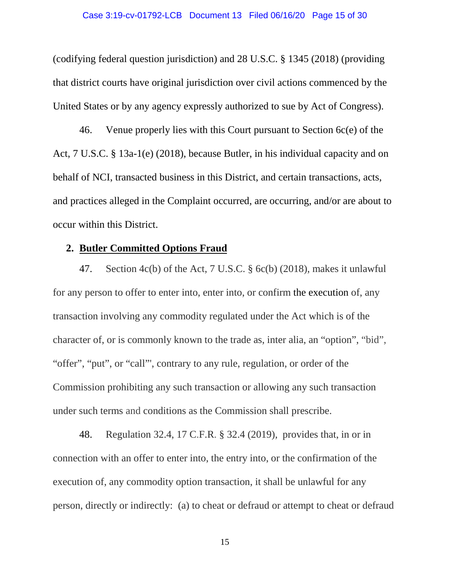(codifying federal question jurisdiction) and 28 U.S.C. § 1345 (2018) (providing that district courts have original jurisdiction over civil actions commenced by the United States or by any agency expressly authorized to sue by Act of Congress).

46. Venue properly lies with this Court pursuant to Section 6c(e) of the Act, 7 U.S.C. § 13a-1(e) (2018), because Butler, in his individual capacity and on behalf of NCI, transacted business in this District, and certain transactions, acts, and practices alleged in the Complaint occurred, are occurring, and/or are about to occur within this District.

### **2. Butler Committed Options Fraud**

47. Section 4c(b) of the Act, 7 U.S.C. § 6c(b) (2018), makes it unlawful for any person to offer to enter into, enter into, or confirm the execution of, any transaction involving any commodity regulated under the Act which is of the character of, or is commonly known to the trade as, inter alia, an "option", "bid", "offer", "put", or "call"', contrary to any rule, regulation, or order of the Commission prohibiting any such transaction or allowing any such transaction under such terms and conditions as the Commission shall prescribe.

48. Regulation 32.4, 17 C.F.R. § 32.4 (2019), provides that, in or in connection with an offer to enter into, the entry into, or the confirmation of the execution of, any commodity option transaction, it shall be unlawful for any person, directly or indirectly: (a) to cheat or defraud or attempt to cheat or defraud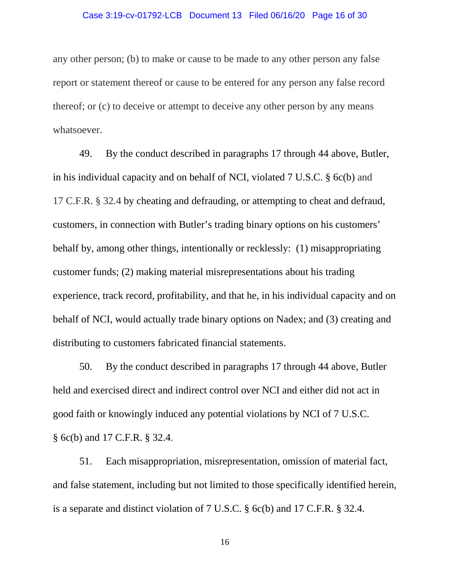#### Case 3:19-cv-01792-LCB Document 13 Filed 06/16/20 Page 16 of 30

any other person; (b) to make or cause to be made to any other person any false report or statement thereof or cause to be entered for any person any false record thereof; or (c) to deceive or attempt to deceive any other person by any means whatsoever.

49. By the conduct described in paragraphs 17 through 44 above, Butler, in his individual capacity and on behalf of NCI, violated 7 U.S.C. § 6c(b) and 17 C.F.R. § 32.4 by cheating and defrauding, or attempting to cheat and defraud, customers, in connection with Butler's trading binary options on his customers' behalf by, among other things, intentionally or recklessly: (1) misappropriating customer funds; (2) making material misrepresentations about his trading experience, track record, profitability, and that he, in his individual capacity and on behalf of NCI, would actually trade binary options on Nadex; and (3) creating and distributing to customers fabricated financial statements.

50. By the conduct described in paragraphs 17 through 44 above, Butler held and exercised direct and indirect control over NCI and either did not act in good faith or knowingly induced any potential violations by NCI of 7 U.S.C. § 6c(b) and 17 C.F.R. § 32.4.

51. Each misappropriation, misrepresentation, omission of material fact, and false statement, including but not limited to those specifically identified herein, is a separate and distinct violation of 7 U.S.C. § 6c(b) and 17 C.F.R. § 32.4.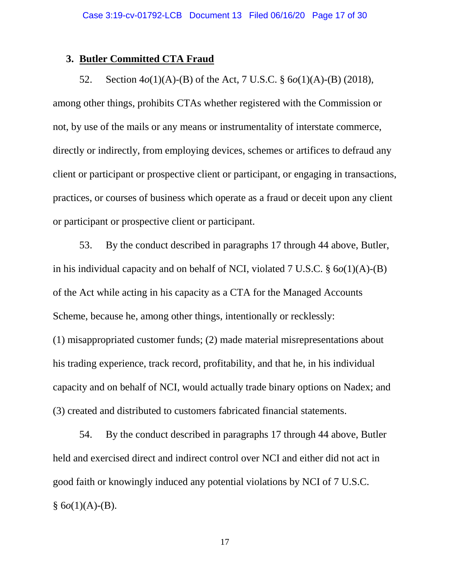### **3. Butler Committed CTA Fraud**

52. Section 4*o*(1)(A)-(B) of the Act, 7 U.S.C. § 6*o*(1)(A)-(B) (2018), among other things, prohibits CTAs whether registered with the Commission or not, by use of the mails or any means or instrumentality of interstate commerce, directly or indirectly, from employing devices, schemes or artifices to defraud any client or participant or prospective client or participant, or engaging in transactions, practices, or courses of business which operate as a fraud or deceit upon any client or participant or prospective client or participant.

53. By the conduct described in paragraphs 17 through 44 above, Butler, in his individual capacity and on behalf of NCI, violated 7 U.S.C. § 6*o*(1)(A)-(B) of the Act while acting in his capacity as a CTA for the Managed Accounts Scheme, because he, among other things, intentionally or recklessly: (1) misappropriated customer funds; (2) made material misrepresentations about his trading experience, track record, profitability, and that he, in his individual capacity and on behalf of NCI, would actually trade binary options on Nadex; and (3) created and distributed to customers fabricated financial statements.

54. By the conduct described in paragraphs 17 through 44 above, Butler held and exercised direct and indirect control over NCI and either did not act in good faith or knowingly induced any potential violations by NCI of 7 U.S.C.  $§ 6o(1)(A)-B).$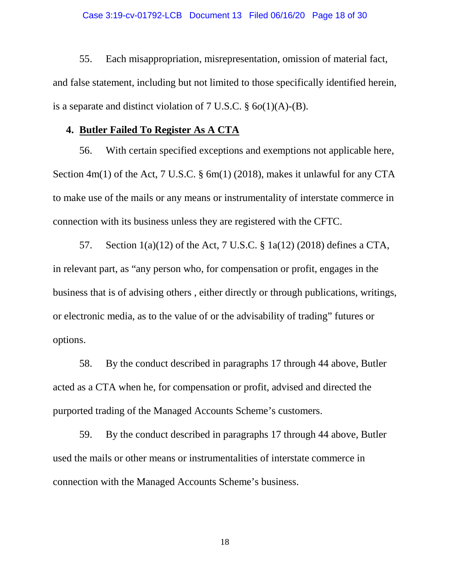55. Each misappropriation, misrepresentation, omission of material fact, and false statement, including but not limited to those specifically identified herein, is a separate and distinct violation of 7 U.S.C. § 6*o*(1)(A)-(B).

### **4. Butler Failed To Register As A CTA**

56. With certain specified exceptions and exemptions not applicable here, Section 4m(1) of the Act, 7 U.S.C. § 6m(1) (2018), makes it unlawful for any CTA to make use of the mails or any means or instrumentality of interstate commerce in connection with its business unless they are registered with the CFTC.

57. Section 1(a)(12) of the Act, 7 U.S.C. § 1a(12) (2018) defines a CTA, in relevant part, as "any person who, for compensation or profit, engages in the business that is of advising others , either directly or through publications, writings, or electronic media, as to the value of or the advisability of trading" futures or options.

58. By the conduct described in paragraphs 17 through 44 above, Butler acted as a CTA when he, for compensation or profit, advised and directed the purported trading of the Managed Accounts Scheme's customers.

59. By the conduct described in paragraphs 17 through 44 above, Butler used the mails or other means or instrumentalities of interstate commerce in connection with the Managed Accounts Scheme's business.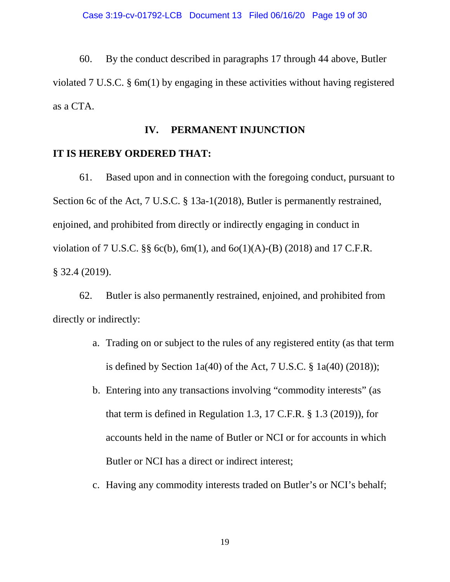60. By the conduct described in paragraphs 17 through 44 above, Butler violated 7 U.S.C. § 6m(1) by engaging in these activities without having registered as a CTA.

# **IV. PERMANENT INJUNCTION**

### **IT IS HEREBY ORDERED THAT:**

61. Based upon and in connection with the foregoing conduct, pursuant to Section 6c of the Act, 7 U.S.C. § 13a-1(2018), Butler is permanently restrained, enjoined, and prohibited from directly or indirectly engaging in conduct in violation of 7 U.S.C. §§ 6c(b), 6m(1), and 6*o*(1)(A)-(B) (2018) and 17 C.F.R. § 32.4 (2019).

62. Butler is also permanently restrained, enjoined, and prohibited from directly or indirectly:

- a. Trading on or subject to the rules of any registered entity (as that term is defined by Section  $1a(40)$  of the Act, 7 U.S.C. §  $1a(40)$  (2018));
- b. Entering into any transactions involving "commodity interests" (as that term is defined in Regulation 1.3, 17 C.F.R. § 1.3 (2019)), for accounts held in the name of Butler or NCI or for accounts in which Butler or NCI has a direct or indirect interest;
- c. Having any commodity interests traded on Butler's or NCI's behalf;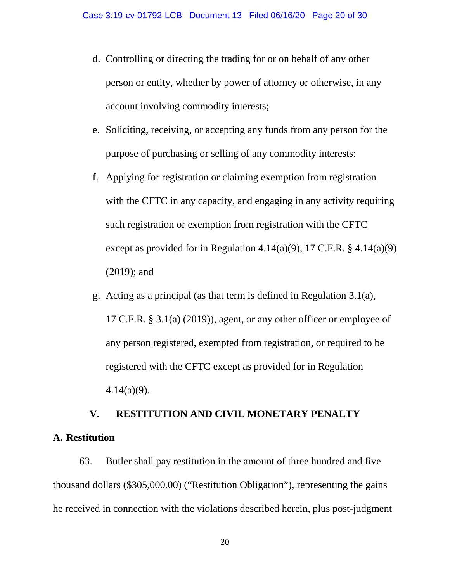- d. Controlling or directing the trading for or on behalf of any other person or entity, whether by power of attorney or otherwise, in any account involving commodity interests;
- e. Soliciting, receiving, or accepting any funds from any person for the purpose of purchasing or selling of any commodity interests;
- f. Applying for registration or claiming exemption from registration with the CFTC in any capacity, and engaging in any activity requiring such registration or exemption from registration with the CFTC except as provided for in Regulation  $4.14(a)(9)$ , 17 C.F.R. §  $4.14(a)(9)$ (2019); and
- g. Acting as a principal (as that term is defined in Regulation 3.1(a), 17 C.F.R. § 3.1(a) (2019)), agent, or any other officer or employee of any person registered, exempted from registration, or required to be registered with the CFTC except as provided for in Regulation 4.14(a)(9).

# **V. RESTITUTION AND CIVIL MONETARY PENALTY A. Restitution**

63. Butler shall pay restitution in the amount of three hundred and five thousand dollars (\$305,000.00) ("Restitution Obligation"), representing the gains he received in connection with the violations described herein, plus post-judgment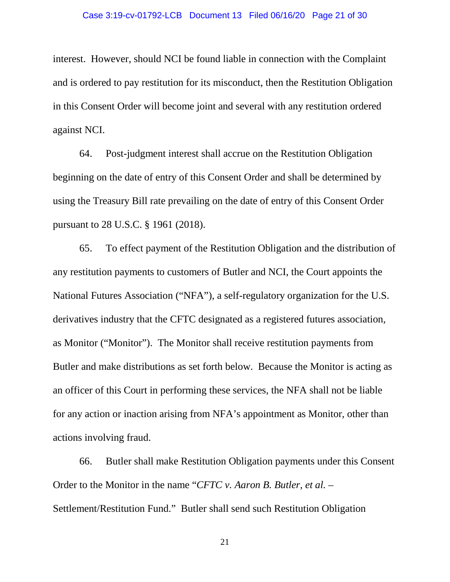interest. However, should NCI be found liable in connection with the Complaint and is ordered to pay restitution for its misconduct, then the Restitution Obligation in this Consent Order will become joint and several with any restitution ordered against NCI.

64. Post-judgment interest shall accrue on the Restitution Obligation beginning on the date of entry of this Consent Order and shall be determined by using the Treasury Bill rate prevailing on the date of entry of this Consent Order pursuant to 28 U.S.C. § 1961 (2018).

65. To effect payment of the Restitution Obligation and the distribution of any restitution payments to customers of Butler and NCI, the Court appoints the National Futures Association ("NFA"), a self-regulatory organization for the U.S. derivatives industry that the CFTC designated as a registered futures association, as Monitor ("Monitor"). The Monitor shall receive restitution payments from Butler and make distributions as set forth below. Because the Monitor is acting as an officer of this Court in performing these services, the NFA shall not be liable for any action or inaction arising from NFA's appointment as Monitor, other than actions involving fraud.

66. Butler shall make Restitution Obligation payments under this Consent Order to the Monitor in the name "*CFTC v. Aaron B. Butler, et al.* – Settlement/Restitution Fund." Butler shall send such Restitution Obligation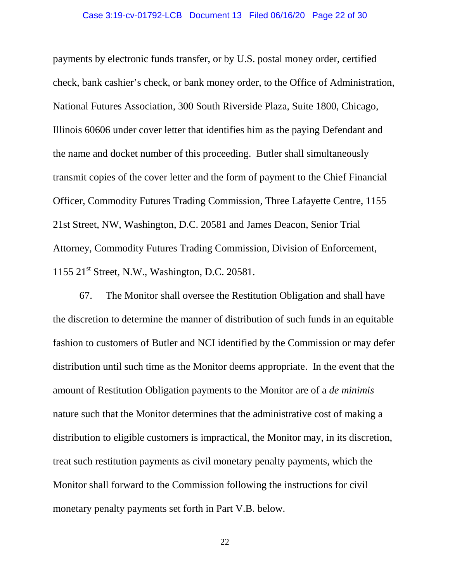#### Case 3:19-cv-01792-LCB Document 13 Filed 06/16/20 Page 22 of 30

payments by electronic funds transfer, or by U.S. postal money order, certified check, bank cashier's check, or bank money order, to the Office of Administration, National Futures Association, 300 South Riverside Plaza, Suite 1800, Chicago, Illinois 60606 under cover letter that identifies him as the paying Defendant and the name and docket number of this proceeding. Butler shall simultaneously transmit copies of the cover letter and the form of payment to the Chief Financial Officer, Commodity Futures Trading Commission, Three Lafayette Centre, 1155 21st Street, NW, Washington, D.C. 20581 and James Deacon, Senior Trial Attorney, Commodity Futures Trading Commission, Division of Enforcement, 1155  $21<sup>st</sup>$  Street, N.W., Washington, D.C. 20581.

67. The Monitor shall oversee the Restitution Obligation and shall have the discretion to determine the manner of distribution of such funds in an equitable fashion to customers of Butler and NCI identified by the Commission or may defer distribution until such time as the Monitor deems appropriate. In the event that the amount of Restitution Obligation payments to the Monitor are of a *de minimis*  nature such that the Monitor determines that the administrative cost of making a distribution to eligible customers is impractical, the Monitor may, in its discretion, treat such restitution payments as civil monetary penalty payments, which the Monitor shall forward to the Commission following the instructions for civil monetary penalty payments set forth in Part V.B. below.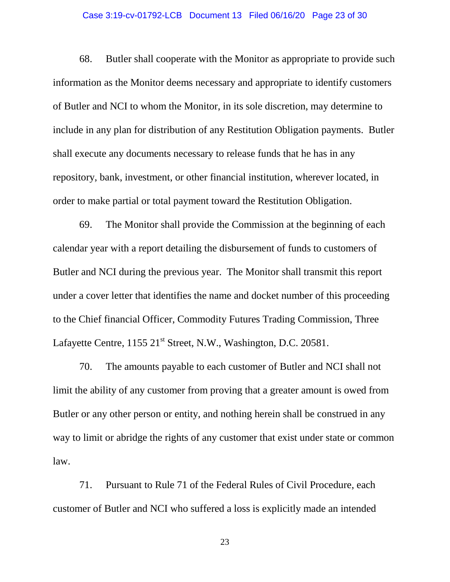#### Case 3:19-cv-01792-LCB Document 13 Filed 06/16/20 Page 23 of 30

68. Butler shall cooperate with the Monitor as appropriate to provide such information as the Monitor deems necessary and appropriate to identify customers of Butler and NCI to whom the Monitor, in its sole discretion, may determine to include in any plan for distribution of any Restitution Obligation payments. Butler shall execute any documents necessary to release funds that he has in any repository, bank, investment, or other financial institution, wherever located, in order to make partial or total payment toward the Restitution Obligation.

69. The Monitor shall provide the Commission at the beginning of each calendar year with a report detailing the disbursement of funds to customers of Butler and NCI during the previous year. The Monitor shall transmit this report under a cover letter that identifies the name and docket number of this proceeding to the Chief financial Officer, Commodity Futures Trading Commission, Three Lafayette Centre, 1155 21<sup>st</sup> Street, N.W., Washington, D.C. 20581.

70. The amounts payable to each customer of Butler and NCI shall not limit the ability of any customer from proving that a greater amount is owed from Butler or any other person or entity, and nothing herein shall be construed in any way to limit or abridge the rights of any customer that exist under state or common law.

71. Pursuant to Rule 71 of the Federal Rules of Civil Procedure, each customer of Butler and NCI who suffered a loss is explicitly made an intended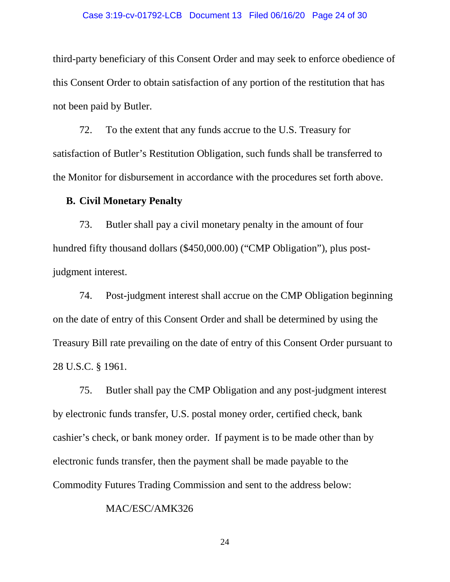#### Case 3:19-cv-01792-LCB Document 13 Filed 06/16/20 Page 24 of 30

third-party beneficiary of this Consent Order and may seek to enforce obedience of this Consent Order to obtain satisfaction of any portion of the restitution that has not been paid by Butler.

72. To the extent that any funds accrue to the U.S. Treasury for satisfaction of Butler's Restitution Obligation, such funds shall be transferred to the Monitor for disbursement in accordance with the procedures set forth above.

#### **B. Civil Monetary Penalty**

73. Butler shall pay a civil monetary penalty in the amount of four hundred fifty thousand dollars (\$450,000.00) ("CMP Obligation"), plus postjudgment interest.

74. Post-judgment interest shall accrue on the CMP Obligation beginning on the date of entry of this Consent Order and shall be determined by using the Treasury Bill rate prevailing on the date of entry of this Consent Order pursuant to 28 U.S.C. § 1961.

75. Butler shall pay the CMP Obligation and any post-judgment interest by electronic funds transfer, U.S. postal money order, certified check, bank cashier's check, or bank money order. If payment is to be made other than by electronic funds transfer, then the payment shall be made payable to the Commodity Futures Trading Commission and sent to the address below:

#### MAC/ESC/AMK326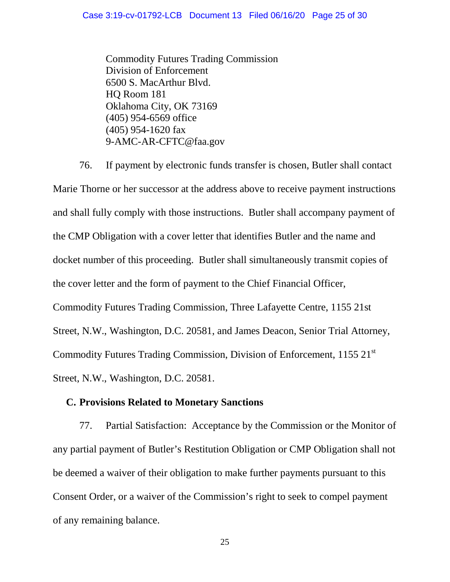Commodity Futures Trading Commission Division of Enforcement 6500 S. MacArthur Blvd. HQ Room 181 Oklahoma City, OK 73169 (405) 954-6569 office (405) 954-1620 fax 9-AMC-AR-CFTC@faa.gov

76. If payment by electronic funds transfer is chosen, Butler shall contact Marie Thorne or her successor at the address above to receive payment instructions and shall fully comply with those instructions. Butler shall accompany payment of the CMP Obligation with a cover letter that identifies Butler and the name and docket number of this proceeding. Butler shall simultaneously transmit copies of the cover letter and the form of payment to the Chief Financial Officer, Commodity Futures Trading Commission, Three Lafayette Centre, 1155 21st Street, N.W., Washington, D.C. 20581, and James Deacon, Senior Trial Attorney, Commodity Futures Trading Commission, Division of Enforcement, 1155 21<sup>st</sup> Street, N.W., Washington, D.C. 20581.

### **C. Provisions Related to Monetary Sanctions**

77. Partial Satisfaction: Acceptance by the Commission or the Monitor of any partial payment of Butler's Restitution Obligation or CMP Obligation shall not be deemed a waiver of their obligation to make further payments pursuant to this Consent Order, or a waiver of the Commission's right to seek to compel payment of any remaining balance.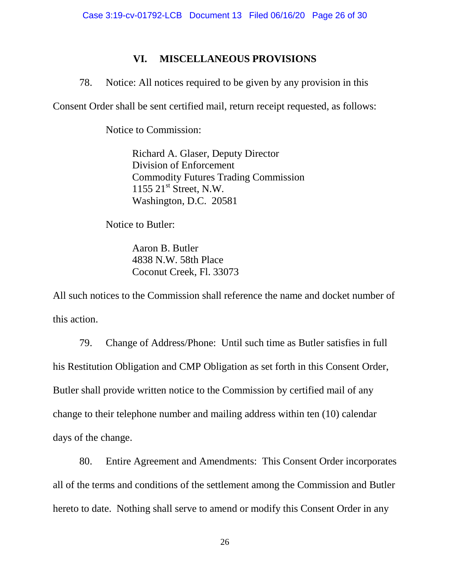## **VI. MISCELLANEOUS PROVISIONS**

78. Notice: All notices required to be given by any provision in this

Consent Order shall be sent certified mail, return receipt requested, as follows:

Notice to Commission:

Richard A. Glaser, Deputy Director Division of Enforcement Commodity Futures Trading Commission  $1155$   $21^{\text{st}}$  Street, N.W. Washington, D.C. 20581

Notice to Butler:

 Aaron B. Butler 4838 N.W. 58th Place Coconut Creek, Fl. 33073

All such notices to the Commission shall reference the name and docket number of this action.

79. Change of Address/Phone: Until such time as Butler satisfies in full his Restitution Obligation and CMP Obligation as set forth in this Consent Order, Butler shall provide written notice to the Commission by certified mail of any change to their telephone number and mailing address within ten (10) calendar days of the change.

80. Entire Agreement and Amendments: This Consent Order incorporates all of the terms and conditions of the settlement among the Commission and Butler hereto to date. Nothing shall serve to amend or modify this Consent Order in any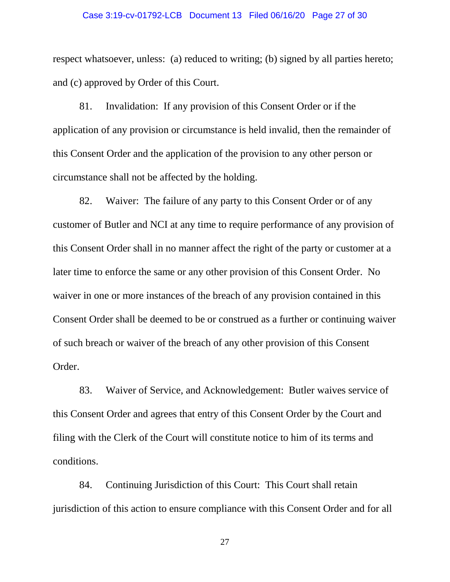#### Case 3:19-cv-01792-LCB Document 13 Filed 06/16/20 Page 27 of 30

respect whatsoever, unless: (a) reduced to writing; (b) signed by all parties hereto; and (c) approved by Order of this Court.

81. Invalidation: If any provision of this Consent Order or if the application of any provision or circumstance is held invalid, then the remainder of this Consent Order and the application of the provision to any other person or circumstance shall not be affected by the holding.

82. Waiver: The failure of any party to this Consent Order or of any customer of Butler and NCI at any time to require performance of any provision of this Consent Order shall in no manner affect the right of the party or customer at a later time to enforce the same or any other provision of this Consent Order. No waiver in one or more instances of the breach of any provision contained in this Consent Order shall be deemed to be or construed as a further or continuing waiver of such breach or waiver of the breach of any other provision of this Consent Order.

83. Waiver of Service, and Acknowledgement: Butler waives service of this Consent Order and agrees that entry of this Consent Order by the Court and filing with the Clerk of the Court will constitute notice to him of its terms and conditions.

84. Continuing Jurisdiction of this Court: This Court shall retain jurisdiction of this action to ensure compliance with this Consent Order and for all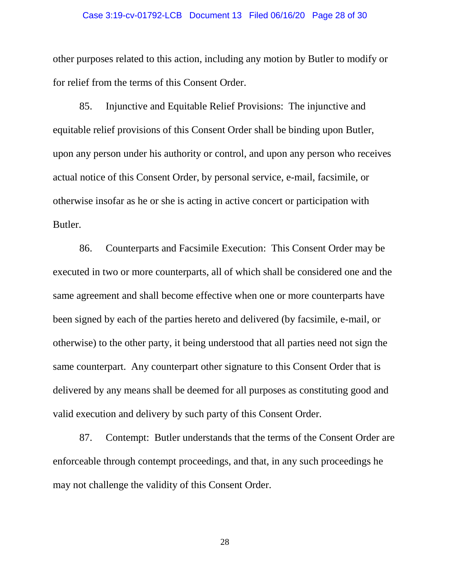#### Case 3:19-cv-01792-LCB Document 13 Filed 06/16/20 Page 28 of 30

other purposes related to this action, including any motion by Butler to modify or for relief from the terms of this Consent Order.

85. Injunctive and Equitable Relief Provisions: The injunctive and equitable relief provisions of this Consent Order shall be binding upon Butler, upon any person under his authority or control, and upon any person who receives actual notice of this Consent Order, by personal service, e-mail, facsimile, or otherwise insofar as he or she is acting in active concert or participation with Butler.

86. Counterparts and Facsimile Execution: This Consent Order may be executed in two or more counterparts, all of which shall be considered one and the same agreement and shall become effective when one or more counterparts have been signed by each of the parties hereto and delivered (by facsimile, e-mail, or otherwise) to the other party, it being understood that all parties need not sign the same counterpart. Any counterpart other signature to this Consent Order that is delivered by any means shall be deemed for all purposes as constituting good and valid execution and delivery by such party of this Consent Order.

87. Contempt: Butler understands that the terms of the Consent Order are enforceable through contempt proceedings, and that, in any such proceedings he may not challenge the validity of this Consent Order.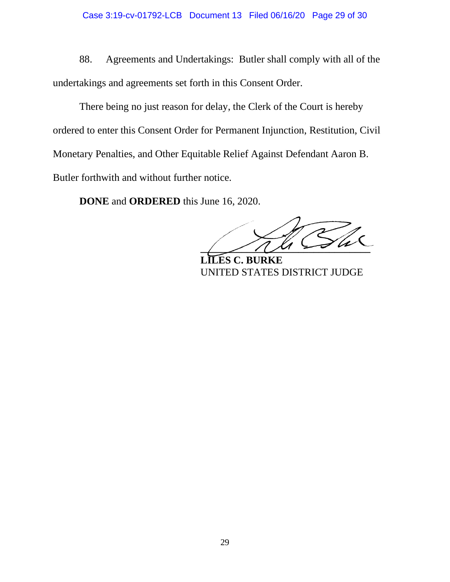88. Agreements and Undertakings: Butler shall comply with all of the undertakings and agreements set forth in this Consent Order.

There being no just reason for delay, the Clerk of the Court is hereby ordered to enter this Consent Order for Permanent Injunction, Restitution, Civil Monetary Penalties, and Other Equitable Relief Against Defendant Aaron B. Butler forthwith and without further notice.

**DONE** and **ORDERED** this June 16, 2020.

 $\overline{1}$ 

 **LILES C. BURKE** UNITED STATES DISTRICT JUDGE